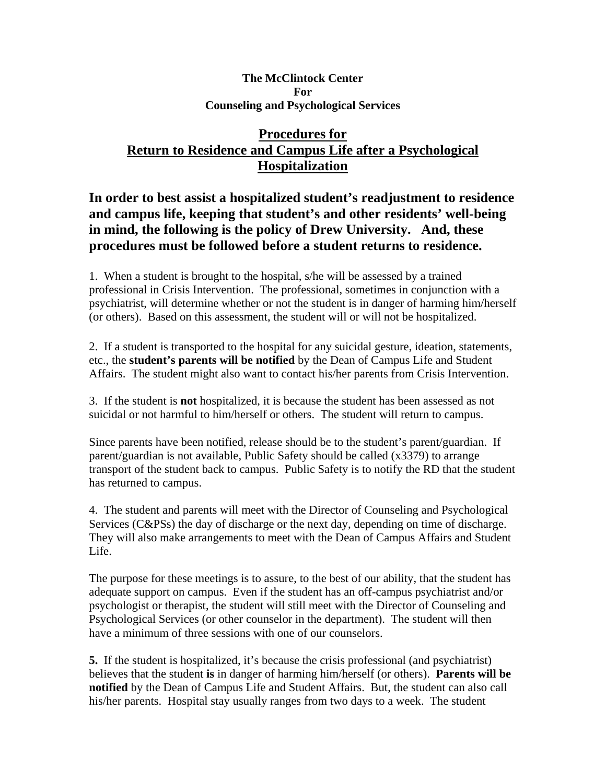## **The McClintock Center For Counseling and Psychological Services**

## **Procedures for Return to Residence and Campus Life after a Psychological Hospitalization**

## **In order to best assist a hospitalized student's readjustment to residence and campus life, keeping that student's and other residents' well-being in mind, the following is the policy of Drew University. And, these procedures must be followed before a student returns to residence.**

1. When a student is brought to the hospital, s/he will be assessed by a trained professional in Crisis Intervention. The professional, sometimes in conjunction with a psychiatrist, will determine whether or not the student is in danger of harming him/herself (or others). Based on this assessment, the student will or will not be hospitalized.

2. If a student is transported to the hospital for any suicidal gesture, ideation, statements, etc., the **student's parents will be notified** by the Dean of Campus Life and Student Affairs. The student might also want to contact his/her parents from Crisis Intervention.

3. If the student is **not** hospitalized, it is because the student has been assessed as not suicidal or not harmful to him/herself or others. The student will return to campus.

Since parents have been notified, release should be to the student's parent/guardian. If parent/guardian is not available, Public Safety should be called (x3379) to arrange transport of the student back to campus. Public Safety is to notify the RD that the student has returned to campus.

4. The student and parents will meet with the Director of Counseling and Psychological Services (C&PSs) the day of discharge or the next day, depending on time of discharge. They will also make arrangements to meet with the Dean of Campus Affairs and Student Life.

The purpose for these meetings is to assure, to the best of our ability, that the student has adequate support on campus. Even if the student has an off-campus psychiatrist and/or psychologist or therapist, the student will still meet with the Director of Counseling and Psychological Services (or other counselor in the department). The student will then have a minimum of three sessions with one of our counselors.

**5.** If the student is hospitalized, it's because the crisis professional (and psychiatrist) believes that the student **is** in danger of harming him/herself (or others). **Parents will be notified** by the Dean of Campus Life and Student Affairs. But, the student can also call his/her parents. Hospital stay usually ranges from two days to a week. The student